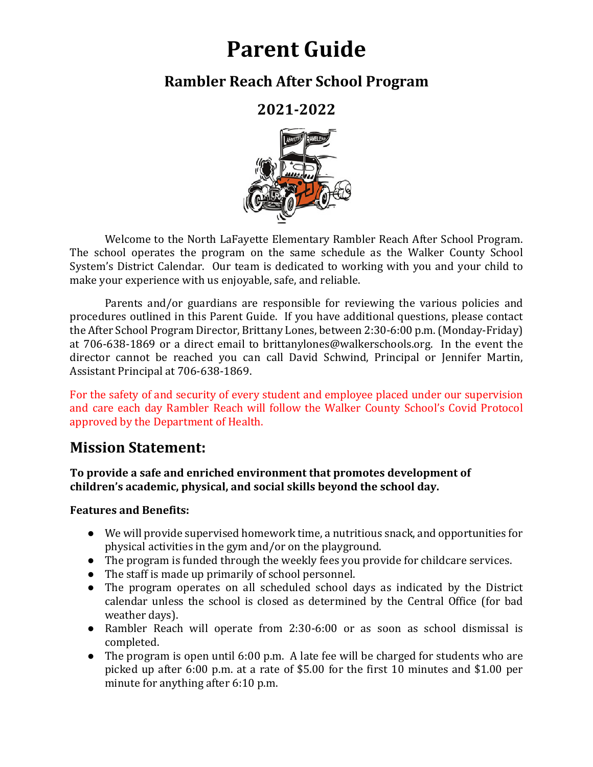# **Parent Guide**

## **Rambler Reach After School Program**

**2021-2022**



Welcome to the North LaFayette Elementary Rambler Reach After School Program. The school operates the program on the same schedule as the Walker County School System's District Calendar. Our team is dedicated to working with you and your child to make your experience with us enjoyable, safe, and reliable.

Parents and/or guardians are responsible for reviewing the various policies and procedures outlined in this Parent Guide. If you have additional questions, please contact the After School Program Director, Brittany Lones, between 2:30-6:00 p.m. (Monday-Friday) at  $706-638-1869$  or a direct email to brittanylones@walkerschools.org. In the event the director cannot be reached you can call David Schwind, Principal or Jennifer Martin, Assistant Principal at 706-638-1869.

For the safety of and security of every student and employee placed under our supervision and care each day Rambler Reach will follow the Walker County School's Covid Protocol approved by the Department of Health.

## **Mission Statement:**

To provide a safe and enriched environment that promotes development of children's academic, physical, and social skills beyond the school day.

#### **Features and Benefits:**

- We will provide supervised homework time, a nutritious snack, and opportunities for physical activities in the gym and/or on the playground.
- The program is funded through the weekly fees you provide for childcare services.
- The staff is made up primarily of school personnel.
- The program operates on all scheduled school days as indicated by the District calendar unless the school is closed as determined by the Central Office (for bad weather days).
- Rambler Reach will operate from 2:30-6:00 or as soon as school dismissal is completed.
- The program is open until 6:00 p.m. A late fee will be charged for students who are picked up after  $6:00$  p.m. at a rate of \$5.00 for the first 10 minutes and \$1.00 per minute for anything after  $6:10$  p.m.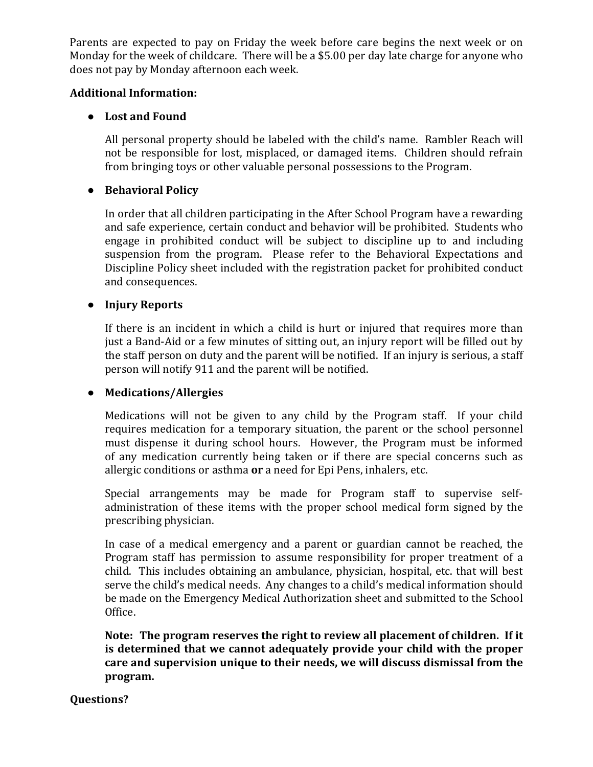Parents are expected to pay on Friday the week before care begins the next week or on Monday for the week of childcare. There will be a \$5.00 per day late charge for anyone who does not pay by Monday afternoon each week.

#### **Additional Information:**

#### ● **Lost and Found**

All personal property should be labeled with the child's name. Rambler Reach will not be responsible for lost, misplaced, or damaged items. Children should refrain from bringing toys or other valuable personal possessions to the Program.

#### ● **Behavioral Policy**

In order that all children participating in the After School Program have a rewarding and safe experience, certain conduct and behavior will be prohibited. Students who engage in prohibited conduct will be subject to discipline up to and including suspension from the program. Please refer to the Behavioral Expectations and Discipline Policy sheet included with the registration packet for prohibited conduct and consequences.

#### ● **Injury Reports**

If there is an incident in which a child is hurt or injured that requires more than just a Band-Aid or a few minutes of sitting out, an injury report will be filled out by the staff person on duty and the parent will be notified. If an injury is serious, a staff person will notify 911 and the parent will be notified.

#### ● **Medications/Allergies**

Medications will not be given to any child by the Program staff. If your child requires medication for a temporary situation, the parent or the school personnel must dispense it during school hours. However, the Program must be informed of any medication currently being taken or if there are special concerns such as allergic conditions or asthma **or** a need for Epi Pens, inhalers, etc.

Special arrangements may be made for Program staff to supervise selfadministration of these items with the proper school medical form signed by the prescribing physician.

In case of a medical emergency and a parent or guardian cannot be reached, the Program staff has permission to assume responsibility for proper treatment of a child. This includes obtaining an ambulance, physician, hospital, etc. that will best serve the child's medical needs. Any changes to a child's medical information should be made on the Emergency Medical Authorization sheet and submitted to the School Office.

**Note:** The program reserves the right to review all placement of children. If it **is determined that we cannot adequately provide your child with the proper** care and supervision unique to their needs, we will discuss dismissal from the **program.**

#### **Questions?**